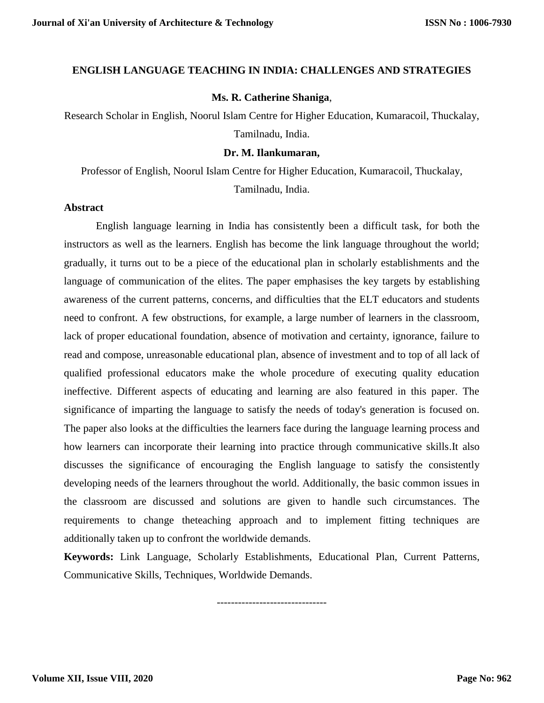# **ENGLISH LANGUAGE TEACHING IN INDIA: CHALLENGES AND STRATEGIES**

# **Ms. R. Catherine Shaniga**,

Research Scholar in English, Noorul Islam Centre for Higher Education, Kumaracoil, Thuckalay, Tamilnadu, India.

## **Dr. M. Ilankumaran,**

Professor of English, Noorul Islam Centre for Higher Education, Kumaracoil, Thuckalay, Tamilnadu, India.

### **Abstract**

English language learning in India has consistently been a difficult task, for both the instructors as well as the learners. English has become the link language throughout the world; gradually, it turns out to be a piece of the educational plan in scholarly establishments and the language of communication of the elites. The paper emphasises the key targets by establishing awareness of the current patterns, concerns, and difficulties that the ELT educators and students need to confront. A few obstructions, for example, a large number of learners in the classroom, lack of proper educational foundation, absence of motivation and certainty, ignorance, failure to read and compose, unreasonable educational plan, absence of investment and to top of all lack of qualified professional educators make the whole procedure of executing quality education ineffective. Different aspects of educating and learning are also featured in this paper. The significance of imparting the language to satisfy the needs of today's generation is focused on. The paper also looks at the difficulties the learners face during the language learning process and how learners can incorporate their learning into practice through communicative skills.It also discusses the significance of encouraging the English language to satisfy the consistently developing needs of the learners throughout the world. Additionally, the basic common issues in the classroom are discussed and solutions are given to handle such circumstances. The requirements to change theteaching approach and to implement fitting techniques are additionally taken up to confront the worldwide demands.

**Keywords:** Link Language, Scholarly Establishments, Educational Plan, Current Patterns, Communicative Skills, Techniques, Worldwide Demands.

-------------------------------

**Volume XII, Issue VIII, 2020**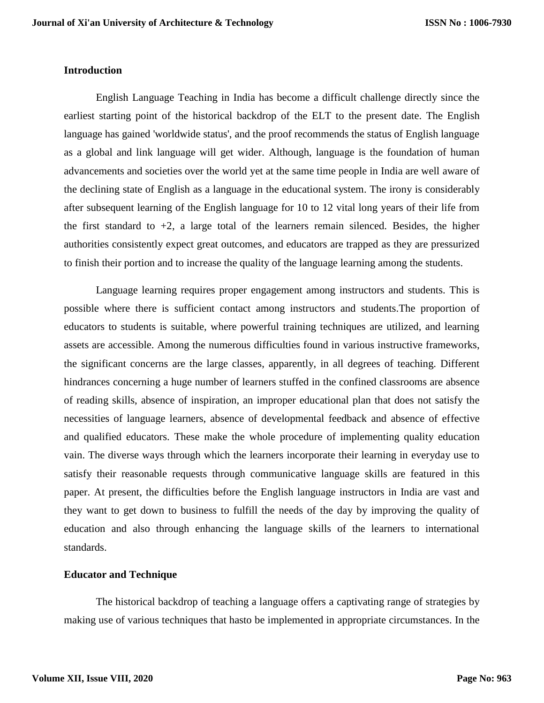## **Introduction**

English Language Teaching in India has become a difficult challenge directly since the earliest starting point of the historical backdrop of the ELT to the present date. The English language has gained 'worldwide status', and the proof recommends the status of English language as a global and link language will get wider. Although, language is the foundation of human advancements and societies over the world yet at the same time people in India are well aware of the declining state of English as a language in the educational system. The irony is considerably after subsequent learning of the English language for 10 to 12 vital long years of their life from the first standard to  $+2$ , a large total of the learners remain silenced. Besides, the higher authorities consistently expect great outcomes, and educators are trapped as they are pressurized to finish their portion and to increase the quality of the language learning among the students.

Language learning requires proper engagement among instructors and students. This is possible where there is sufficient contact among instructors and students.The proportion of educators to students is suitable, where powerful training techniques are utilized, and learning assets are accessible. Among the numerous difficulties found in various instructive frameworks, the significant concerns are the large classes, apparently, in all degrees of teaching. Different hindrances concerning a huge number of learners stuffed in the confined classrooms are absence of reading skills, absence of inspiration, an improper educational plan that does not satisfy the necessities of language learners, absence of developmental feedback and absence of effective and qualified educators. These make the whole procedure of implementing quality education vain. The diverse ways through which the learners incorporate their learning in everyday use to satisfy their reasonable requests through communicative language skills are featured in this paper. At present, the difficulties before the English language instructors in India are vast and they want to get down to business to fulfill the needs of the day by improving the quality of education and also through enhancing the language skills of the learners to international standards.

### **Educator and Technique**

The historical backdrop of teaching a language offers a captivating range of strategies by making use of various techniques that hasto be implemented in appropriate circumstances. In the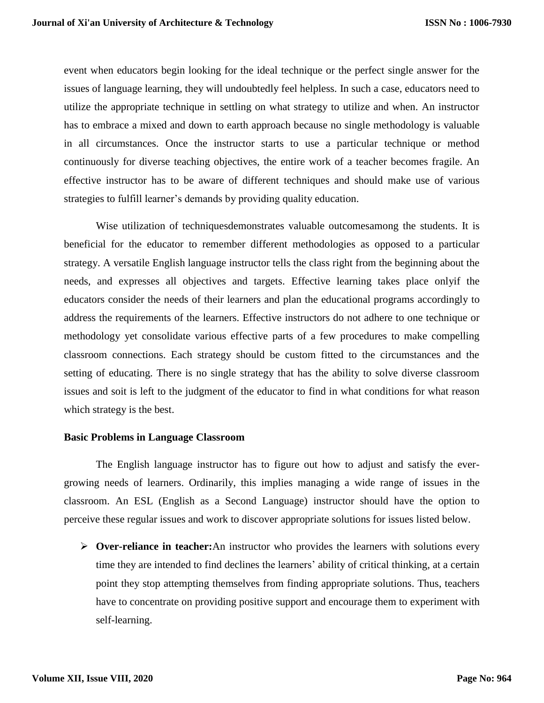event when educators begin looking for the ideal technique or the perfect single answer for the issues of language learning, they will undoubtedly feel helpless. In such a case, educators need to utilize the appropriate technique in settling on what strategy to utilize and when. An instructor has to embrace a mixed and down to earth approach because no single methodology is valuable in all circumstances. Once the instructor starts to use a particular technique or method continuously for diverse teaching objectives, the entire work of a teacher becomes fragile. An effective instructor has to be aware of different techniques and should make use of various strategies to fulfill learner's demands by providing quality education.

Wise utilization of techniquesdemonstrates valuable outcomesamong the students. It is beneficial for the educator to remember different methodologies as opposed to a particular strategy. A versatile English language instructor tells the class right from the beginning about the needs, and expresses all objectives and targets. Effective learning takes place onlyif the educators consider the needs of their learners and plan the educational programs accordingly to address the requirements of the learners. Effective instructors do not adhere to one technique or methodology yet consolidate various effective parts of a few procedures to make compelling classroom connections. Each strategy should be custom fitted to the circumstances and the setting of educating. There is no single strategy that has the ability to solve diverse classroom issues and soit is left to the judgment of the educator to find in what conditions for what reason which strategy is the best.

## **Basic Problems in Language Classroom**

The English language instructor has to figure out how to adjust and satisfy the evergrowing needs of learners. Ordinarily, this implies managing a wide range of issues in the classroom. An ESL (English as a Second Language) instructor should have the option to perceive these regular issues and work to discover appropriate solutions for issues listed below.

 **Over-reliance in teacher:**An instructor who provides the learners with solutions every time they are intended to find declines the learners' ability of critical thinking, at a certain point they stop attempting themselves from finding appropriate solutions. Thus, teachers have to concentrate on providing positive support and encourage them to experiment with self-learning.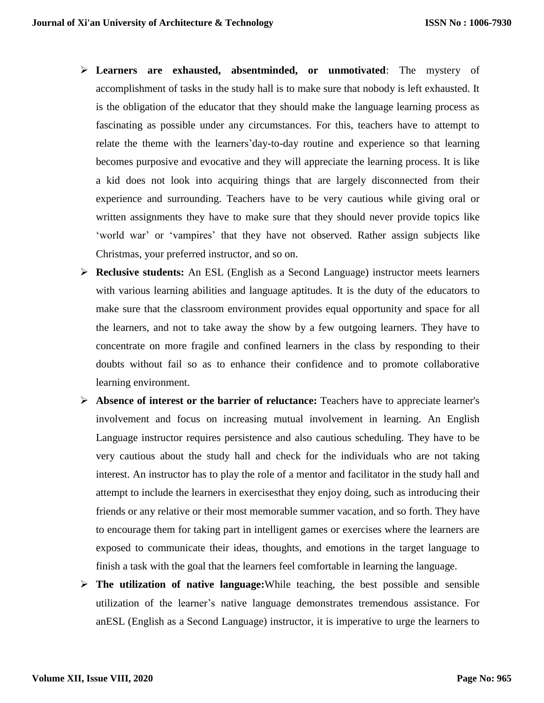- **Learners are exhausted, absentminded, or unmotivated**: The mystery of accomplishment of tasks in the study hall is to make sure that nobody is left exhausted. It is the obligation of the educator that they should make the language learning process as fascinating as possible under any circumstances. For this, teachers have to attempt to relate the theme with the learners'day-to-day routine and experience so that learning becomes purposive and evocative and they will appreciate the learning process. It is like a kid does not look into acquiring things that are largely disconnected from their experience and surrounding. Teachers have to be very cautious while giving oral or written assignments they have to make sure that they should never provide topics like 'world war' or 'vampires' that they have not observed. Rather assign subjects like Christmas, your preferred instructor, and so on.
- **Reclusive students:** An ESL (English as a Second Language) instructor meets learners with various learning abilities and language aptitudes. It is the duty of the educators to make sure that the classroom environment provides equal opportunity and space for all the learners, and not to take away the show by a few outgoing learners. They have to concentrate on more fragile and confined learners in the class by responding to their doubts without fail so as to enhance their confidence and to promote collaborative learning environment.
- **Absence of interest or the barrier of reluctance:** Teachers have to appreciate learner's involvement and focus on increasing mutual involvement in learning. An English Language instructor requires persistence and also cautious scheduling. They have to be very cautious about the study hall and check for the individuals who are not taking interest. An instructor has to play the role of a mentor and facilitator in the study hall and attempt to include the learners in exercisesthat they enjoy doing, such as introducing their friends or any relative or their most memorable summer vacation, and so forth. They have to encourage them for taking part in intelligent games or exercises where the learners are exposed to communicate their ideas, thoughts, and emotions in the target language to finish a task with the goal that the learners feel comfortable in learning the language.
- **The utilization of native language:**While teaching, the best possible and sensible utilization of the learner's native language demonstrates tremendous assistance. For anESL (English as a Second Language) instructor, it is imperative to urge the learners to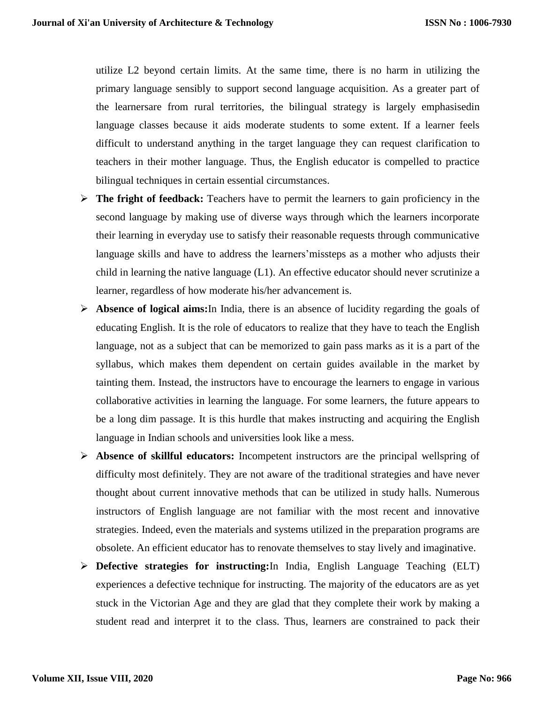utilize L2 beyond certain limits. At the same time, there is no harm in utilizing the primary language sensibly to support second language acquisition. As a greater part of the learnersare from rural territories, the bilingual strategy is largely emphasisedin language classes because it aids moderate students to some extent. If a learner feels difficult to understand anything in the target language they can request clarification to teachers in their mother language. Thus, the English educator is compelled to practice bilingual techniques in certain essential circumstances.

- **The fright of feedback:** Teachers have to permit the learners to gain proficiency in the second language by making use of diverse ways through which the learners incorporate their learning in everyday use to satisfy their reasonable requests through communicative language skills and have to address the learners'missteps as a mother who adjusts their child in learning the native language (L1). An effective educator should never scrutinize a learner, regardless of how moderate his/her advancement is.
- **Absence of logical aims:**In India, there is an absence of lucidity regarding the goals of educating English. It is the role of educators to realize that they have to teach the English language, not as a subject that can be memorized to gain pass marks as it is a part of the syllabus, which makes them dependent on certain guides available in the market by tainting them. Instead, the instructors have to encourage the learners to engage in various collaborative activities in learning the language. For some learners, the future appears to be a long dim passage. It is this hurdle that makes instructing and acquiring the English language in Indian schools and universities look like a mess.
- **Absence of skillful educators:** Incompetent instructors are the principal wellspring of difficulty most definitely. They are not aware of the traditional strategies and have never thought about current innovative methods that can be utilized in study halls. Numerous instructors of English language are not familiar with the most recent and innovative strategies. Indeed, even the materials and systems utilized in the preparation programs are obsolete. An efficient educator has to renovate themselves to stay lively and imaginative.
- **Defective strategies for instructing:**In India, English Language Teaching (ELT) experiences a defective technique for instructing. The majority of the educators are as yet stuck in the Victorian Age and they are glad that they complete their work by making a student read and interpret it to the class. Thus, learners are constrained to pack their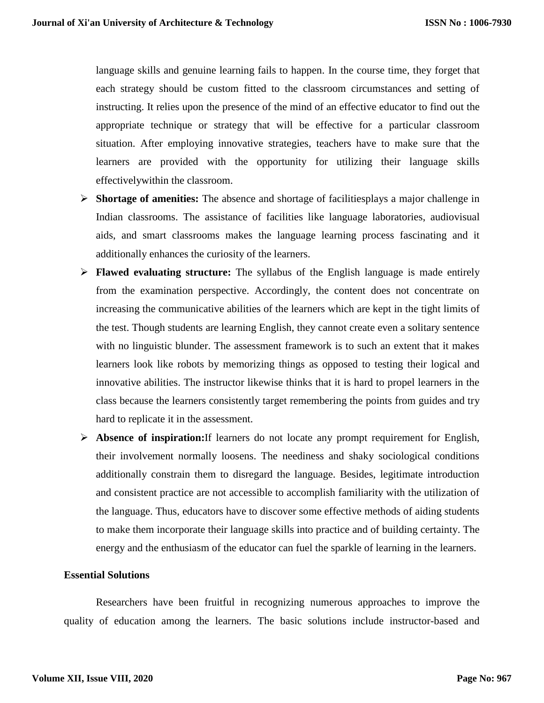language skills and genuine learning fails to happen. In the course time, they forget that each strategy should be custom fitted to the classroom circumstances and setting of instructing. It relies upon the presence of the mind of an effective educator to find out the appropriate technique or strategy that will be effective for a particular classroom situation. After employing innovative strategies, teachers have to make sure that the learners are provided with the opportunity for utilizing their language skills effectivelywithin the classroom.

- **Shortage of amenities:** The absence and shortage of facilitiesplays a major challenge in Indian classrooms. The assistance of facilities like language laboratories, audiovisual aids, and smart classrooms makes the language learning process fascinating and it additionally enhances the curiosity of the learners.
- **Flawed evaluating structure:** The syllabus of the English language is made entirely from the examination perspective. Accordingly, the content does not concentrate on increasing the communicative abilities of the learners which are kept in the tight limits of the test. Though students are learning English, they cannot create even a solitary sentence with no linguistic blunder. The assessment framework is to such an extent that it makes learners look like robots by memorizing things as opposed to testing their logical and innovative abilities. The instructor likewise thinks that it is hard to propel learners in the class because the learners consistently target remembering the points from guides and try hard to replicate it in the assessment.
- **Absence of inspiration:**If learners do not locate any prompt requirement for English, their involvement normally loosens. The neediness and shaky sociological conditions additionally constrain them to disregard the language. Besides, legitimate introduction and consistent practice are not accessible to accomplish familiarity with the utilization of the language. Thus, educators have to discover some effective methods of aiding students to make them incorporate their language skills into practice and of building certainty. The energy and the enthusiasm of the educator can fuel the sparkle of learning in the learners.

# **Essential Solutions**

Researchers have been fruitful in recognizing numerous approaches to improve the quality of education among the learners. The basic solutions include instructor-based and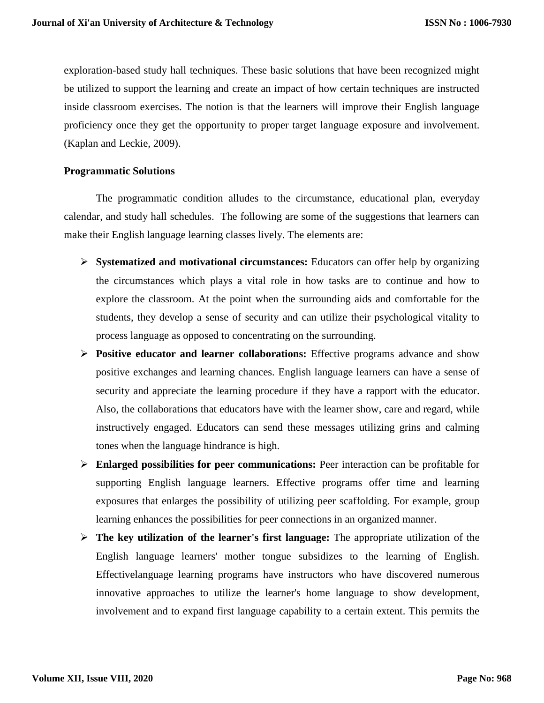exploration-based study hall techniques. These basic solutions that have been recognized might be utilized to support the learning and create an impact of how certain techniques are instructed inside classroom exercises. The notion is that the learners will improve their English language proficiency once they get the opportunity to proper target language exposure and involvement. (Kaplan and Leckie, 2009).

# **Programmatic Solutions**

The programmatic condition alludes to the circumstance, educational plan, everyday calendar, and study hall schedules. The following are some of the suggestions that learners can make their English language learning classes lively. The elements are:

- **Systematized and motivational circumstances:** Educators can offer help by organizing the circumstances which plays a vital role in how tasks are to continue and how to explore the classroom. At the point when the surrounding aids and comfortable for the students, they develop a sense of security and can utilize their psychological vitality to process language as opposed to concentrating on the surrounding.
- **Positive educator and learner collaborations:** Effective programs advance and show positive exchanges and learning chances. English language learners can have a sense of security and appreciate the learning procedure if they have a rapport with the educator. Also, the collaborations that educators have with the learner show, care and regard, while instructively engaged. Educators can send these messages utilizing grins and calming tones when the language hindrance is high.
- **Enlarged possibilities for peer communications:** Peer interaction can be profitable for supporting English language learners. Effective programs offer time and learning exposures that enlarges the possibility of utilizing peer scaffolding. For example, group learning enhances the possibilities for peer connections in an organized manner.
- **The key utilization of the learner's first language:** The appropriate utilization of the English language learners' mother tongue subsidizes to the learning of English. Effectivelanguage learning programs have instructors who have discovered numerous innovative approaches to utilize the learner's home language to show development, involvement and to expand first language capability to a certain extent. This permits the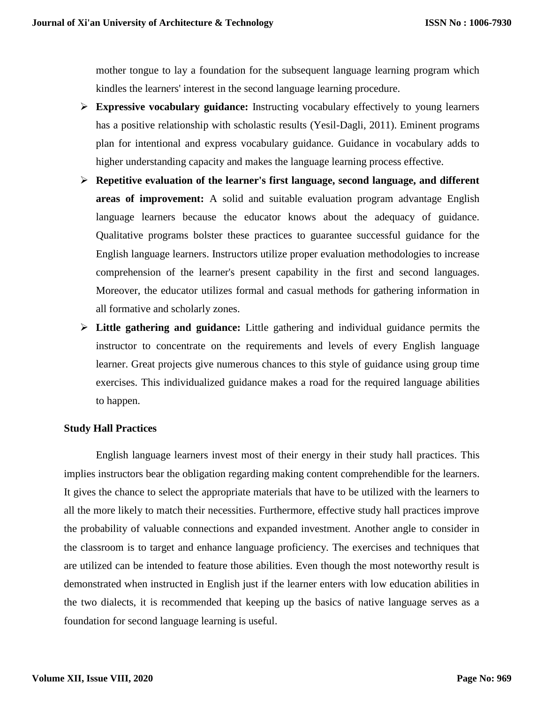mother tongue to lay a foundation for the subsequent language learning program which kindles the learners' interest in the second language learning procedure.

- **Expressive vocabulary guidance:** Instructing vocabulary effectively to young learners has a positive relationship with scholastic results (Yesil-Dagli, 2011). Eminent programs plan for intentional and express vocabulary guidance. Guidance in vocabulary adds to higher understanding capacity and makes the language learning process effective.
- **Repetitive evaluation of the learner's first language, second language, and different areas of improvement:** A solid and suitable evaluation program advantage English language learners because the educator knows about the adequacy of guidance. Qualitative programs bolster these practices to guarantee successful guidance for the English language learners. Instructors utilize proper evaluation methodologies to increase comprehension of the learner's present capability in the first and second languages. Moreover, the educator utilizes formal and casual methods for gathering information in all formative and scholarly zones.
- **Little gathering and guidance:** Little gathering and individual guidance permits the instructor to concentrate on the requirements and levels of every English language learner. Great projects give numerous chances to this style of guidance using group time exercises. This individualized guidance makes a road for the required language abilities to happen.

### **Study Hall Practices**

English language learners invest most of their energy in their study hall practices. This implies instructors bear the obligation regarding making content comprehendible for the learners. It gives the chance to select the appropriate materials that have to be utilized with the learners to all the more likely to match their necessities. Furthermore, effective study hall practices improve the probability of valuable connections and expanded investment. Another angle to consider in the classroom is to target and enhance language proficiency. The exercises and techniques that are utilized can be intended to feature those abilities. Even though the most noteworthy result is demonstrated when instructed in English just if the learner enters with low education abilities in the two dialects, it is recommended that keeping up the basics of native language serves as a foundation for second language learning is useful.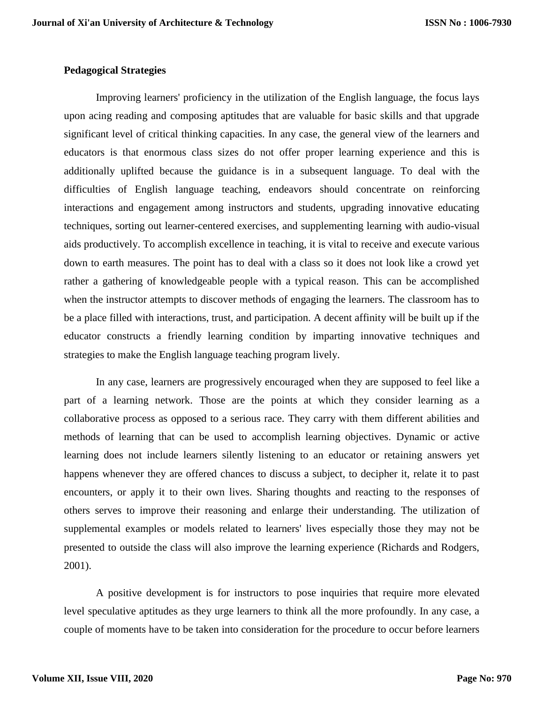# **Pedagogical Strategies**

Improving learners' proficiency in the utilization of the English language, the focus lays upon acing reading and composing aptitudes that are valuable for basic skills and that upgrade significant level of critical thinking capacities. In any case, the general view of the learners and educators is that enormous class sizes do not offer proper learning experience and this is additionally uplifted because the guidance is in a subsequent language. To deal with the difficulties of English language teaching, endeavors should concentrate on reinforcing interactions and engagement among instructors and students, upgrading innovative educating techniques, sorting out learner-centered exercises, and supplementing learning with audio-visual aids productively. To accomplish excellence in teaching, it is vital to receive and execute various down to earth measures. The point has to deal with a class so it does not look like a crowd yet rather a gathering of knowledgeable people with a typical reason. This can be accomplished when the instructor attempts to discover methods of engaging the learners. The classroom has to be a place filled with interactions, trust, and participation. A decent affinity will be built up if the educator constructs a friendly learning condition by imparting innovative techniques and strategies to make the English language teaching program lively.

In any case, learners are progressively encouraged when they are supposed to feel like a part of a learning network. Those are the points at which they consider learning as a collaborative process as opposed to a serious race. They carry with them different abilities and methods of learning that can be used to accomplish learning objectives. Dynamic or active learning does not include learners silently listening to an educator or retaining answers yet happens whenever they are offered chances to discuss a subject, to decipher it, relate it to past encounters, or apply it to their own lives. Sharing thoughts and reacting to the responses of others serves to improve their reasoning and enlarge their understanding. The utilization of supplemental examples or models related to learners' lives especially those they may not be presented to outside the class will also improve the learning experience (Richards and Rodgers, 2001).

A positive development is for instructors to pose inquiries that require more elevated level speculative aptitudes as they urge learners to think all the more profoundly. In any case, a couple of moments have to be taken into consideration for the procedure to occur before learners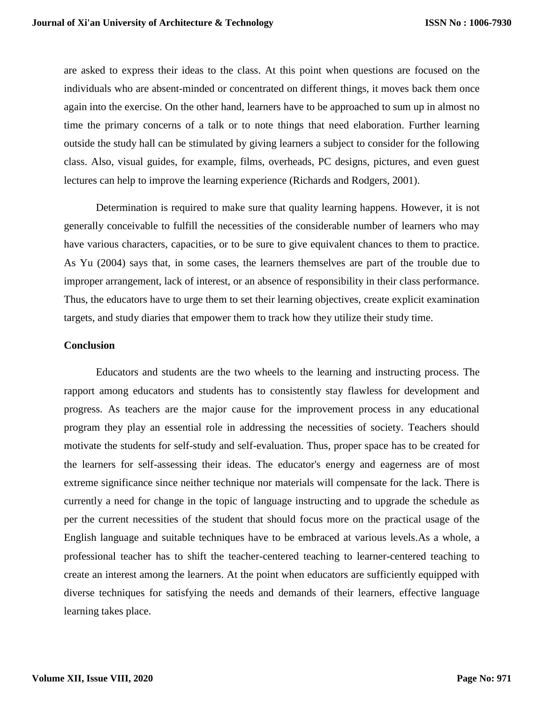are asked to express their ideas to the class. At this point when questions are focused on the individuals who are absent-minded or concentrated on different things, it moves back them once again into the exercise. On the other hand, learners have to be approached to sum up in almost no time the primary concerns of a talk or to note things that need elaboration. Further learning outside the study hall can be stimulated by giving learners a subject to consider for the following class. Also, visual guides, for example, films, overheads, PC designs, pictures, and even guest lectures can help to improve the learning experience (Richards and Rodgers, 2001).

Determination is required to make sure that quality learning happens. However, it is not generally conceivable to fulfill the necessities of the considerable number of learners who may have various characters, capacities, or to be sure to give equivalent chances to them to practice. As Yu (2004) says that, in some cases, the learners themselves are part of the trouble due to improper arrangement, lack of interest, or an absence of responsibility in their class performance. Thus, the educators have to urge them to set their learning objectives, create explicit examination targets, and study diaries that empower them to track how they utilize their study time.

### **Conclusion**

Educators and students are the two wheels to the learning and instructing process. The rapport among educators and students has to consistently stay flawless for development and progress. As teachers are the major cause for the improvement process in any educational program they play an essential role in addressing the necessities of society. Teachers should motivate the students for self-study and self-evaluation. Thus, proper space has to be created for the learners for self-assessing their ideas. The educator's energy and eagerness are of most extreme significance since neither technique nor materials will compensate for the lack. There is currently a need for change in the topic of language instructing and to upgrade the schedule as per the current necessities of the student that should focus more on the practical usage of the English language and suitable techniques have to be embraced at various levels.As a whole, a professional teacher has to shift the teacher-centered teaching to learner-centered teaching to create an interest among the learners. At the point when educators are sufficiently equipped with diverse techniques for satisfying the needs and demands of their learners, effective language learning takes place.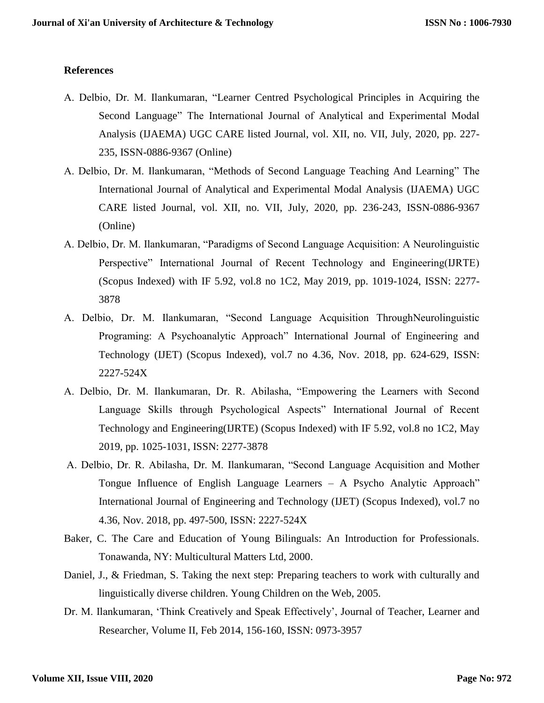# **References**

- A. Delbio, Dr. M. Ilankumaran, "Learner Centred Psychological Principles in Acquiring the Second Language" The International Journal of Analytical and Experimental Modal Analysis (IJAEMA) UGC CARE listed Journal, vol. XII, no. VII, July, 2020, pp. 227- 235, ISSN-0886-9367 (Online)
- A. Delbio, Dr. M. Ilankumaran, "Methods of Second Language Teaching And Learning" The International Journal of Analytical and Experimental Modal Analysis (IJAEMA) UGC CARE listed Journal, vol. XII, no. VII, July, 2020, pp. 236-243, ISSN-0886-9367 (Online)
- A. Delbio, Dr. M. Ilankumaran, "Paradigms of Second Language Acquisition: A Neurolinguistic Perspective" International Journal of Recent Technology and Engineering(IJRTE) (Scopus Indexed) with IF 5.92, vol.8 no 1C2, May 2019, pp. 1019-1024, ISSN: 2277- 3878
- A. Delbio, Dr. M. Ilankumaran, "Second Language Acquisition ThroughNeurolinguistic Programing: A Psychoanalytic Approach" International Journal of Engineering and Technology (IJET) (Scopus Indexed), vol.7 no 4.36, Nov. 2018, pp. 624-629, ISSN: 2227-524X
- A. Delbio, Dr. M. Ilankumaran, Dr. R. Abilasha, "Empowering the Learners with Second Language Skills through Psychological Aspects" International Journal of Recent Technology and Engineering(IJRTE) (Scopus Indexed) with IF 5.92, vol.8 no 1C2, May 2019, pp. 1025-1031, ISSN: 2277-3878
- A. Delbio, Dr. R. Abilasha, Dr. M. Ilankumaran, "Second Language Acquisition and Mother Tongue Influence of English Language Learners – A Psycho Analytic Approach" International Journal of Engineering and Technology (IJET) (Scopus Indexed), vol.7 no 4.36, Nov. 2018, pp. 497-500, ISSN: 2227-524X
- Baker, C. The Care and Education of Young Bilinguals: An Introduction for Professionals. Tonawanda, NY: Multicultural Matters Ltd, 2000.
- Daniel, J., & Friedman, S. Taking the next step: Preparing teachers to work with culturally and linguistically diverse children. Young Children on the Web, 2005.
- Dr. M. Ilankumaran, 'Think Creatively and Speak Effectively', Journal of Teacher, Learner and Researcher, Volume II, Feb 2014, 156-160, ISSN: 0973-3957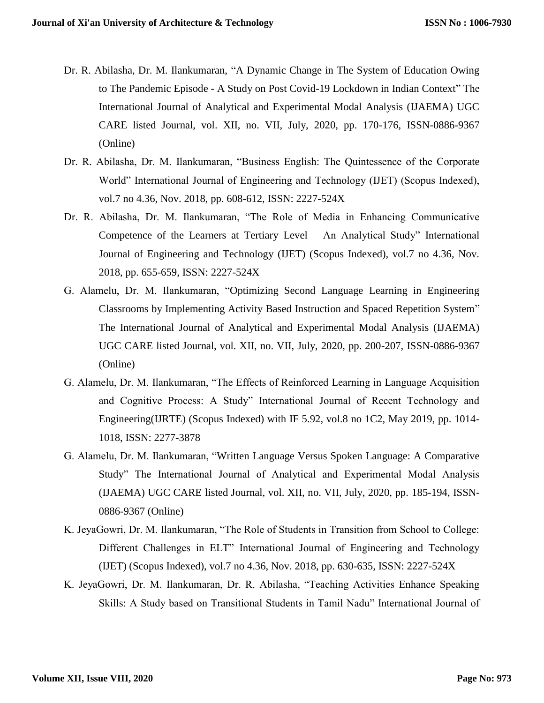- Dr. R. Abilasha, Dr. M. Ilankumaran, "A Dynamic Change in The System of Education Owing to The Pandemic Episode - A Study on Post Covid-19 Lockdown in Indian Context" The International Journal of Analytical and Experimental Modal Analysis (IJAEMA) UGC CARE listed Journal, vol. XII, no. VII, July, 2020, pp. 170-176, ISSN-0886-9367 (Online)
- Dr. R. Abilasha, Dr. M. Ilankumaran, "Business English: The Quintessence of the Corporate World" International Journal of Engineering and Technology (IJET) (Scopus Indexed), vol.7 no 4.36, Nov. 2018, pp. 608-612, ISSN: 2227-524X
- Dr. R. Abilasha, Dr. M. Ilankumaran, "The Role of Media in Enhancing Communicative Competence of the Learners at Tertiary Level – An Analytical Study" International Journal of Engineering and Technology (IJET) (Scopus Indexed), vol.7 no 4.36, Nov. 2018, pp. 655-659, ISSN: 2227-524X
- G. Alamelu, Dr. M. Ilankumaran, "Optimizing Second Language Learning in Engineering Classrooms by Implementing Activity Based Instruction and Spaced Repetition System" The International Journal of Analytical and Experimental Modal Analysis (IJAEMA) UGC CARE listed Journal, vol. XII, no. VII, July, 2020, pp. 200-207, ISSN-0886-9367 (Online)
- G. Alamelu, Dr. M. Ilankumaran, "The Effects of Reinforced Learning in Language Acquisition and Cognitive Process: A Study" International Journal of Recent Technology and Engineering(IJRTE) (Scopus Indexed) with IF 5.92, vol.8 no 1C2, May 2019, pp. 1014- 1018, ISSN: 2277-3878
- G. Alamelu, Dr. M. Ilankumaran, "Written Language Versus Spoken Language: A Comparative Study" The International Journal of Analytical and Experimental Modal Analysis (IJAEMA) UGC CARE listed Journal, vol. XII, no. VII, July, 2020, pp. 185-194, ISSN-0886-9367 (Online)
- K. JeyaGowri, Dr. M. Ilankumaran, "The Role of Students in Transition from School to College: Different Challenges in ELT" International Journal of Engineering and Technology (IJET) (Scopus Indexed), vol.7 no 4.36, Nov. 2018, pp. 630-635, ISSN: 2227-524X
- K. JeyaGowri, Dr. M. Ilankumaran, Dr. R. Abilasha, "Teaching Activities Enhance Speaking Skills: A Study based on Transitional Students in Tamil Nadu" International Journal of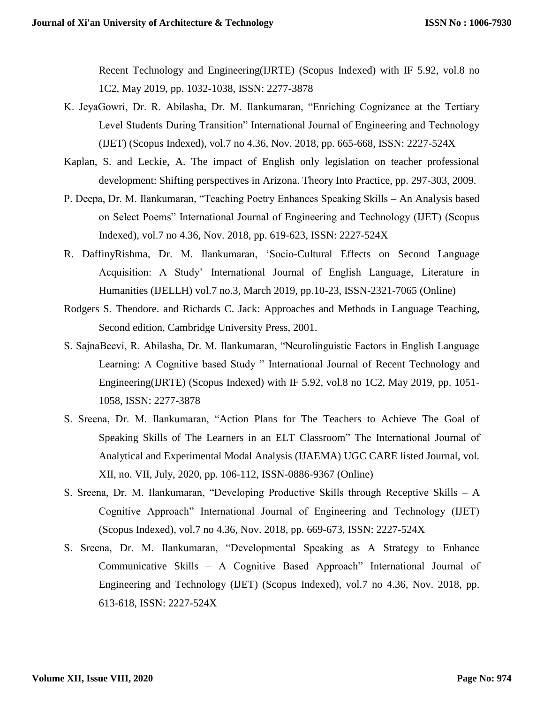Recent Technology and Engineering(IJRTE) (Scopus Indexed) with IF 5.92, vol.8 no 1C2, May 2019, pp. 1032-1038, ISSN: 2277-3878

- K. JeyaGowri, Dr. R. Abilasha, Dr. M. Ilankumaran, "Enriching Cognizance at the Tertiary Level Students During Transition" International Journal of Engineering and Technology (IJET) (Scopus Indexed), vol.7 no 4.36, Nov. 2018, pp. 665-668, ISSN: 2227-524X
- Kaplan, S. and Leckie, A. The impact of English only legislation on teacher professional development: Shifting perspectives in Arizona. Theory Into Practice, pp. 297-303, 2009.
- P. Deepa, Dr. M. Ilankumaran, "Teaching Poetry Enhances Speaking Skills An Analysis based on Select Poems" International Journal of Engineering and Technology (IJET) (Scopus Indexed), vol.7 no 4.36, Nov. 2018, pp. 619-623, ISSN: 2227-524X
- R. DaffinyRishma, Dr. M. Ilankumaran, 'Socio-Cultural Effects on Second Language Acquisition: A Study' International Journal of English Language, Literature in Humanities (IJELLH) vol.7 no.3, March 2019, pp.10-23, ISSN-2321-7065 (Online)
- Rodgers S. Theodore. and Richards C. Jack: Approaches and Methods in Language Teaching, Second edition, Cambridge University Press, 2001.
- S. SajnaBeevi, R. Abilasha, Dr. M. Ilankumaran, "Neurolinguistic Factors in English Language Learning: A Cognitive based Study " International Journal of Recent Technology and Engineering(IJRTE) (Scopus Indexed) with IF 5.92, vol.8 no 1C2, May 2019, pp. 1051- 1058, ISSN: 2277-3878
- S. Sreena, Dr. M. Ilankumaran, "Action Plans for The Teachers to Achieve The Goal of Speaking Skills of The Learners in an ELT Classroom" The International Journal of Analytical and Experimental Modal Analysis (IJAEMA) UGC CARE listed Journal, vol. XII, no. VII, July, 2020, pp. 106-112, ISSN-0886-9367 (Online)
- S. Sreena, Dr. M. Ilankumaran, "Developing Productive Skills through Receptive Skills A Cognitive Approach" International Journal of Engineering and Technology (IJET) (Scopus Indexed), vol.7 no 4.36, Nov. 2018, pp. 669-673, ISSN: 2227-524X
- S. Sreena, Dr. M. Ilankumaran, "Developmental Speaking as A Strategy to Enhance Communicative Skills – A Cognitive Based Approach" International Journal of Engineering and Technology (IJET) (Scopus Indexed), vol.7 no 4.36, Nov. 2018, pp. 613-618, ISSN: 2227-524X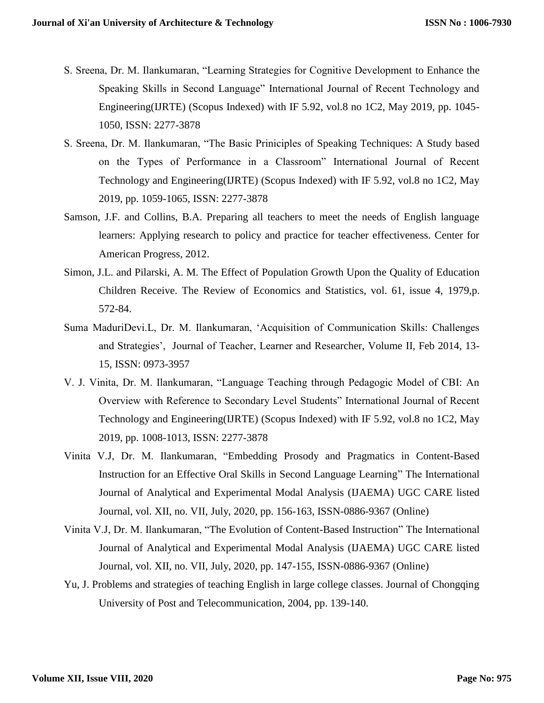- S. Sreena, Dr. M. Ilankumaran, "Learning Strategies for Cognitive Development to Enhance the Speaking Skills in Second Language" International Journal of Recent Technology and Engineering(IJRTE) (Scopus Indexed) with IF 5.92, vol.8 no 1C2, May 2019, pp. 1045- 1050, ISSN: 2277-3878
- S. Sreena, Dr. M. Ilankumaran, "The Basic Priniciples of Speaking Techniques: A Study based on the Types of Performance in a Classroom" International Journal of Recent Technology and Engineering(IJRTE) (Scopus Indexed) with IF 5.92, vol.8 no 1C2, May 2019, pp. 1059-1065, ISSN: 2277-3878
- Samson, J.F. and Collins, B.A. Preparing all teachers to meet the needs of English language learners: Applying research to policy and practice for teacher effectiveness. Center for American Progress, 2012.
- Simon, J.L. and Pilarski, A. M. The Effect of Population Growth Upon the Quality of Education Children Receive. The Review of Economics and Statistics, vol. 61, issue 4, 1979,p. 572-84.
- Suma MaduriDevi.L, Dr. M. Ilankumaran, 'Acquisition of Communication Skills: Challenges and Strategies', Journal of Teacher, Learner and Researcher, Volume II, Feb 2014, 13- 15, ISSN: 0973-3957
- V. J. Vinita, Dr. M. Ilankumaran, "Language Teaching through Pedagogic Model of CBI: An Overview with Reference to Secondary Level Students" International Journal of Recent Technology and Engineering(IJRTE) (Scopus Indexed) with IF 5.92, vol.8 no 1C2, May 2019, pp. 1008-1013, ISSN: 2277-3878
- Vinita V.J, Dr. M. Ilankumaran, "Embedding Prosody and Pragmatics in Content-Based Instruction for an Effective Oral Skills in Second Language Learning" The International Journal of Analytical and Experimental Modal Analysis (IJAEMA) UGC CARE listed Journal, vol. XII, no. VII, July, 2020, pp. 156-163, ISSN-0886-9367 (Online)
- Vinita V.J, Dr. M. Ilankumaran, "The Evolution of Content-Based Instruction" The International Journal of Analytical and Experimental Modal Analysis (IJAEMA) UGC CARE listed Journal, vol. XII, no. VII, July, 2020, pp. 147-155, ISSN-0886-9367 (Online)
- Yu, J. Problems and strategies of teaching English in large college classes. Journal of Chongqing University of Post and Telecommunication, 2004, pp. 139-140.